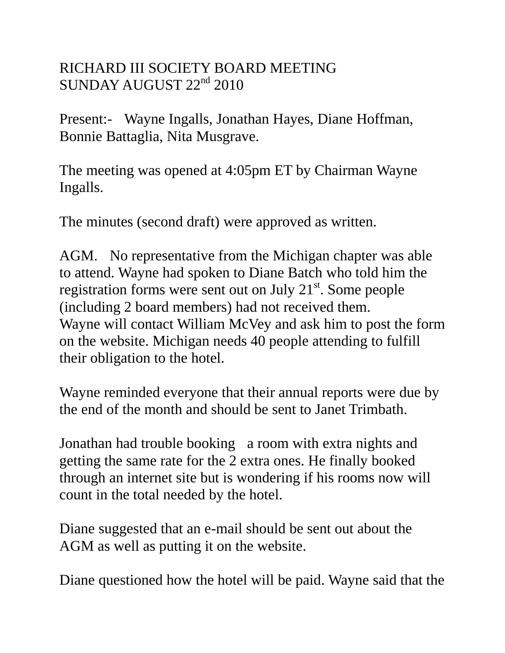## RICHARD III SOCIETY BOARD MEETING SUNDAY AUGUST 22<sup>nd</sup> 2010

Present:- Wayne Ingalls, Jonathan Hayes, Diane Hoffman, Bonnie Battaglia, Nita Musgrave.

The meeting was opened at 4:05pm ET by Chairman Wayne Ingalls.

The minutes (second draft) were approved as written.

AGM. No representative from the Michigan chapter was able to attend. Wayne had spoken to Diane Batch who told him the registration forms were sent out on July 21<sup>st</sup>. Some people (including 2 board members) had not received them. Wayne will contact William McVey and ask him to post the form on the website. Michigan needs 40 people attending to fulfill their obligation to the hotel.

Wayne reminded everyone that their annual reports were due by the end of the month and should be sent to Janet Trimbath.

Jonathan had trouble booking a room with extra nights and getting the same rate for the 2 extra ones. He finally booked through an internet site but is wondering if his rooms now will count in the total needed by the hotel.

Diane suggested that an e-mail should be sent out about the AGM as well as putting it on the website.

Diane questioned how the hotel will be paid. Wayne said that the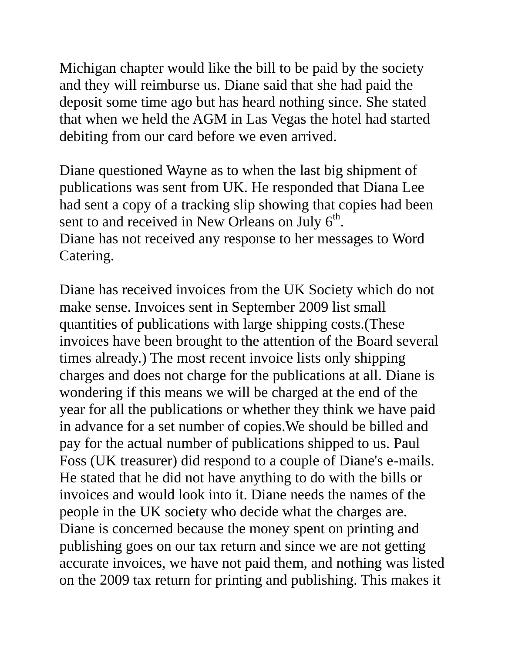Michigan chapter would like the bill to be paid by the society and they will reimburse us. Diane said that she had paid the deposit some time ago but has heard nothing since. She stated that when we held the AGM in Las Vegas the hotel had started debiting from our card before we even arrived.

Diane questioned Wayne as to when the last big shipment of publications was sent from UK. He responded that Diana Lee had sent a copy of a tracking slip showing that copies had been sent to and received in New Orleans on July  $6<sup>th</sup>$ . Diane has not received any response to her messages to Word Catering.

Diane has received invoices from the UK Society which do not make sense. Invoices sent in September 2009 list small quantities of publications with large shipping costs.(These invoices have been brought to the attention of the Board several times already.) The most recent invoice lists only shipping charges and does not charge for the publications at all. Diane is wondering if this means we will be charged at the end of the year for all the publications or whether they think we have paid in advance for a set number of copies.We should be billed and pay for the actual number of publications shipped to us. Paul Foss (UK treasurer) did respond to a couple of Diane's e-mails. He stated that he did not have anything to do with the bills or invoices and would look into it. Diane needs the names of the people in the UK society who decide what the charges are. Diane is concerned because the money spent on printing and publishing goes on our tax return and since we are not getting accurate invoices, we have not paid them, and nothing was listed on the 2009 tax return for printing and publishing. This makes it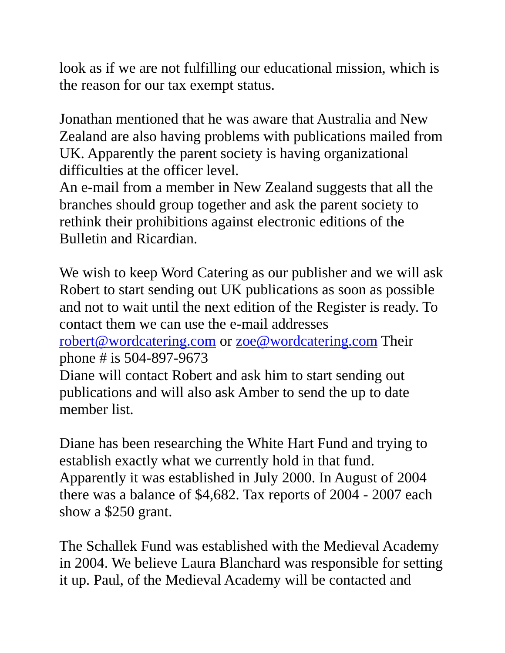look as if we are not fulfilling our educational mission, which is the reason for our tax exempt status.

Jonathan mentioned that he was aware that Australia and New Zealand are also having problems with publications mailed from UK. Apparently the parent society is having organizational difficulties at the officer level.

An e-mail from a member in New Zealand suggests that all the branches should group together and ask the parent society to rethink their prohibitions against electronic editions of the Bulletin and Ricardian.

We wish to keep Word Catering as our publisher and we will ask Robert to start sending out UK publications as soon as possible and not to wait until the next edition of the Register is ready. To contact them we can use the e-mail addresses

[robert@wordcatering.com](mailto:robert@wordcatering.com) or [zoe@wordcatering.com](mailto:zoe@wordcatering.com) Their phone # is 504-897-9673

Diane will contact Robert and ask him to start sending out publications and will also ask Amber to send the up to date member list.

Diane has been researching the White Hart Fund and trying to establish exactly what we currently hold in that fund. Apparently it was established in July 2000. In August of 2004 there was a balance of \$4,682. Tax reports of 2004 - 2007 each show a \$250 grant.

The Schallek Fund was established with the Medieval Academy in 2004. We believe Laura Blanchard was responsible for setting it up. Paul, of the Medieval Academy will be contacted and